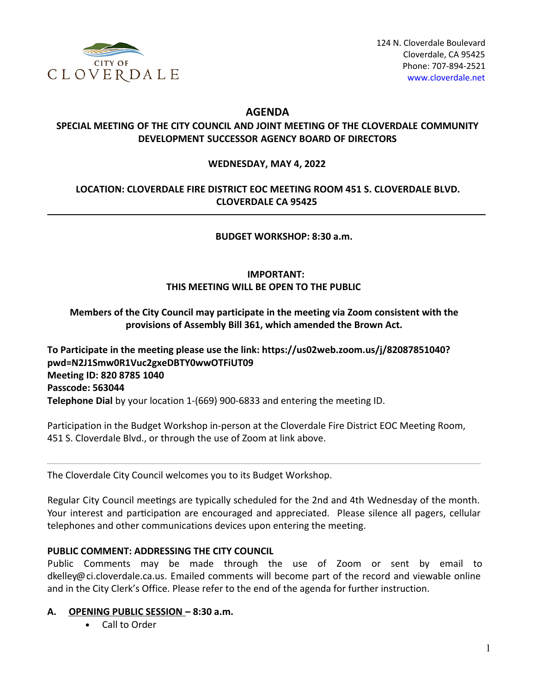

## **AGENDA**

## **SPECIAL MEETING OF THE CITY COUNCIL AND JOINT MEETING OF THE CLOVERDALE COMMUNITY DEVELOPMENT SUCCESSOR AGENCY BOARD OF DIRECTORS**

#### **WEDNESDAY, MAY 4, 2022**

## **LOCATION: CLOVERDALE FIRE DISTRICT EOC MEETING ROOM 451 S. CLOVERDALE BLVD. CLOVERDALE CA 95425**

 **BUDGET WORKSHOP: 8:30 a.m.** 

## **IMPORTANT: THIS MEETING WILL BE OPEN TO THE PUBLIC**

### **Members of the City Council may participate in the meeting via Zoom consistent with the provisions of Assembly Bill 361, which amended the Brown Act.**

**To Participate in the meeting please use the link: https://us02web.zoom.us/j/82087851040? pwd=N2J1Smw0R1Vuc2gxeDBTY0wwOTFiUT09 Meeting ID: 820 8785 1040 Passcode: 563044 Telephone Dial** by your location 1-(669) 900-6833 and entering the meeting ID.

Participation in the Budget Workshop in-person at the Cloverdale Fire District EOC Meeting Room, 451 S. Cloverdale Blvd., or through the use of Zoom at link above.

The Cloverdale City Council welcomes you to its Budget Workshop.

Regular City Council meetings are typically scheduled for the 2nd and 4th Wednesday of the month. Your interest and participation are encouraged and appreciated. Please silence all pagers, cellular telephones and other communications devices upon entering the meeting.

### **PUBLIC COMMENT: ADDRESSING THE CITY COUNCIL**

Public Comments may be made through the use of Zoom or sent by email to dkelley@ci.cloverdale.ca.us. Emailed comments will become part of the record and viewable online and in the City Clerk's Office. Please refer to the end of the agenda for further instruction.

### **A. OPENING PUBLIC SESSION – 8:30 a.m.**

Call to Order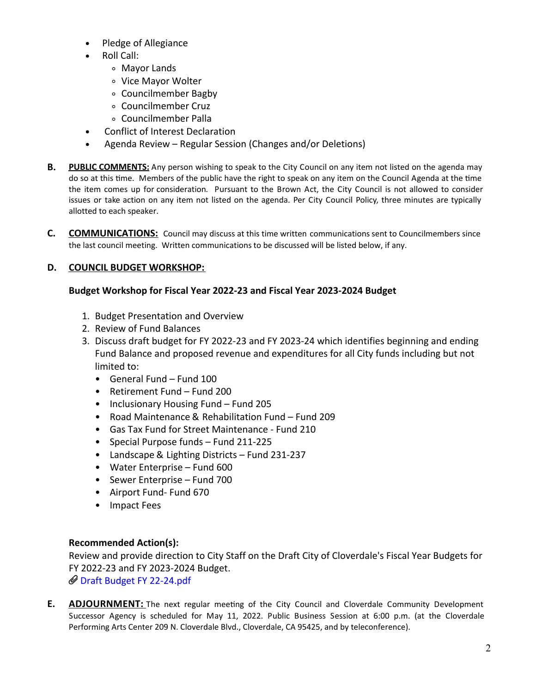- Pledge of Allegiance
- Roll Call:
	- Mayor Lands
	- Vice Mayor Wolter
	- Councilmember Bagby
	- Councilmember Cruz
	- Councilmember Palla
- Conflict of Interest Declaration
- Agenda Review Regular Session (Changes and/or Deletions)
- **B. PUBLIC COMMENTS:** Any person wishing to speak to the City Council on any item not listed on the agenda may do so at this time. Members of the public have the right to speak on any item on the Council Agenda at the time the item comes up for consideration. Pursuant to the Brown Act, the City Council is not allowed to consider issues or take action on any item not listed on the agenda. Per City Council Policy, three minutes are typically allotted to each speaker.
- **C. COMMUNICATIONS:** Council may discuss at this time written communications sent to Councilmembers since the last council meeting. Written communications to be discussed will be listed below, if any.

# **D. COUNCIL BUDGET WORKSHOP:**

### **Budget Workshop for Fiscal Year 2022-23 and Fiscal Year 2023-2024 Budget**

- 1. Budget Presentation and Overview
- 2. Review of Fund Balances
- 3. Discuss draft budget for FY 2022-23 and FY 2023-24 which identifies beginning and ending Fund Balance and proposed revenue and expenditures for all City funds including but not limited to:
	- General Fund Fund 100
	- Retirement Fund Fund 200
	- Inclusionary Housing Fund Fund 205
	- Road Maintenance & Rehabilitation Fund Fund 209
	- Gas Tax Fund for Street Maintenance Fund 210
	- Special Purpose funds Fund 211-225
	- Landscape & Lighting Districts Fund 231-237
	- Water Enterprise Fund 600
	- Sewer Enterprise Fund 700
	- Airport Fund- Fund 670
	- Impact Fees

## **Recommended Action(s):**

Review and provide direction to City Staff on the Draft City of Cloverdale's Fiscal Year Budgets for FY 2022-23 and FY 2023-2024 Budget. Draft Budget FY [22-24.pdf](https://legistarweb-production.s3.amazonaws.com/uploads/attachment/pdf/1355615/Draft_Budget_FY_22-24.pdf)

**E. ADJOURNMENT:** The next regular meeting of the City Council and Cloverdale Community Development Successor Agency is scheduled for May 11, 2022. Public Business Session at 6:00 p.m. (at the Cloverdale Performing Arts Center 209 N. Cloverdale Blvd., Cloverdale, CA 95425, and by teleconference).